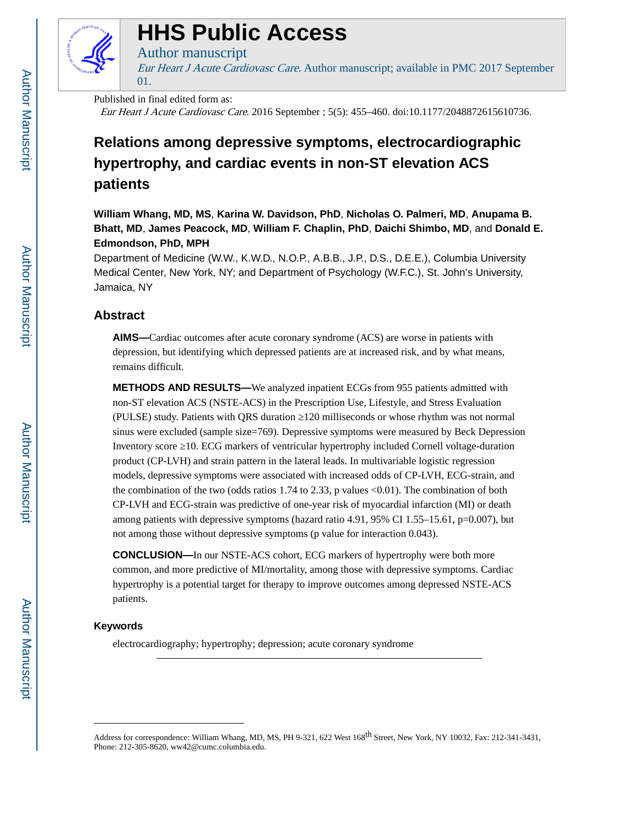

# **HHS Public Access**

## Author manuscript

Eur Heart J Acute Cardiovasc Care. Author manuscript; available in PMC 2017 September 01.

## Published in final edited form as:

Eur Heart J Acute Cardiovasc Care. 2016 September ; 5(5): 455–460. doi:10.1177/2048872615610736.

## **Relations among depressive symptoms, electrocardiographic hypertrophy, and cardiac events in non-ST elevation ACS patients**

**William Whang, MD, MS**, **Karina W. Davidson, PhD**, **Nicholas O. Palmeri, MD**, **Anupama B. Bhatt, MD**, **James Peacock, MD**, **William F. Chaplin, PhD**, **Daichi Shimbo, MD**, and **Donald E. Edmondson, PhD, MPH**

Department of Medicine (W.W., K.W.D., N.O.P., A.B.B., J.P., D.S., D.E.E.), Columbia University Medical Center, New York, NY; and Department of Psychology (W.F.C.), St. John's University, Jamaica, NY

## **Abstract**

**AIMS—**Cardiac outcomes after acute coronary syndrome (ACS) are worse in patients with depression, but identifying which depressed patients are at increased risk, and by what means, remains difficult.

**METHODS AND RESULTS—**We analyzed inpatient ECGs from 955 patients admitted with non-ST elevation ACS (NSTE-ACS) in the Prescription Use, Lifestyle, and Stress Evaluation (PULSE) study. Patients with QRS duration 120 milliseconds or whose rhythm was not normal sinus were excluded (sample size=769). Depressive symptoms were measured by Beck Depression Inventory score 10. ECG markers of ventricular hypertrophy included Cornell voltage-duration product (CP-LVH) and strain pattern in the lateral leads. In multivariable logistic regression models, depressive symptoms were associated with increased odds of CP-LVH, ECG-strain, and the combination of the two (odds ratios  $1.74$  to  $2.33$ , p values  $\langle 0.01 \rangle$ ). The combination of both CP-LVH and ECG-strain was predictive of one-year risk of myocardial infarction (MI) or death among patients with depressive symptoms (hazard ratio 4.91, 95% CI 1.55–15.61, p=0.007), but not among those without depressive symptoms (p value for interaction 0.043).

**CONCLUSION—**In our NSTE-ACS cohort, ECG markers of hypertrophy were both more common, and more predictive of MI/mortality, among those with depressive symptoms. Cardiac hypertrophy is a potential target for therapy to improve outcomes among depressed NSTE-ACS patients.

## **Keywords**

electrocardiography; hypertrophy; depression; acute coronary syndrome

Address for correspondence: William Whang, MD, MS, PH 9-321, 622 West 168<sup>th</sup> Street, New York, NY 10032, Fax: 212-341-3431, Phone: 212-305-8620, ww42@cumc.columbia.edu.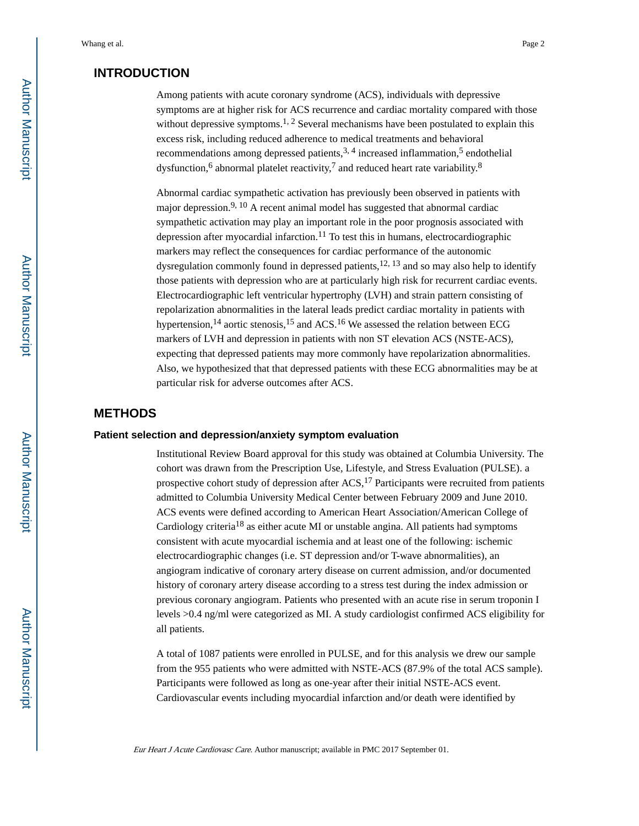## **INTRODUCTION**

Among patients with acute coronary syndrome (ACS), individuals with depressive symptoms are at higher risk for ACS recurrence and cardiac mortality compared with those without depressive symptoms.<sup>1, 2</sup> Several mechanisms have been postulated to explain this excess risk, including reduced adherence to medical treatments and behavioral recommendations among depressed patients,  $3, 4$  increased inflammation,  $5$  endothelial dysfunction,<sup>6</sup> abnormal platelet reactivity,<sup>7</sup> and reduced heart rate variability.<sup>8</sup>

Abnormal cardiac sympathetic activation has previously been observed in patients with major depression.<sup>9, 10</sup> A recent animal model has suggested that abnormal cardiac sympathetic activation may play an important role in the poor prognosis associated with depression after myocardial infarction.<sup>11</sup> To test this in humans, electrocardiographic markers may reflect the consequences for cardiac performance of the autonomic dysregulation commonly found in depressed patients,<sup>12, 13</sup> and so may also help to identify those patients with depression who are at particularly high risk for recurrent cardiac events. Electrocardiographic left ventricular hypertrophy (LVH) and strain pattern consisting of repolarization abnormalities in the lateral leads predict cardiac mortality in patients with hypertension,<sup>14</sup> aortic stenosis,<sup>15</sup> and ACS.<sup>16</sup> We assessed the relation between ECG markers of LVH and depression in patients with non ST elevation ACS (NSTE-ACS), expecting that depressed patients may more commonly have repolarization abnormalities. Also, we hypothesized that that depressed patients with these ECG abnormalities may be at particular risk for adverse outcomes after ACS.

## **METHODS**

#### **Patient selection and depression/anxiety symptom evaluation**

Institutional Review Board approval for this study was obtained at Columbia University. The cohort was drawn from the Prescription Use, Lifestyle, and Stress Evaluation (PULSE). a prospective cohort study of depression after  $ACS$ ,<sup>17</sup> Participants were recruited from patients admitted to Columbia University Medical Center between February 2009 and June 2010. ACS events were defined according to American Heart Association/American College of Cardiology criteria<sup>18</sup> as either acute MI or unstable angina. All patients had symptoms consistent with acute myocardial ischemia and at least one of the following: ischemic electrocardiographic changes (i.e. ST depression and/or T-wave abnormalities), an angiogram indicative of coronary artery disease on current admission, and/or documented history of coronary artery disease according to a stress test during the index admission or previous coronary angiogram. Patients who presented with an acute rise in serum troponin I levels >0.4 ng/ml were categorized as MI. A study cardiologist confirmed ACS eligibility for all patients.

A total of 1087 patients were enrolled in PULSE, and for this analysis we drew our sample from the 955 patients who were admitted with NSTE-ACS (87.9% of the total ACS sample). Participants were followed as long as one-year after their initial NSTE-ACS event. Cardiovascular events including myocardial infarction and/or death were identified by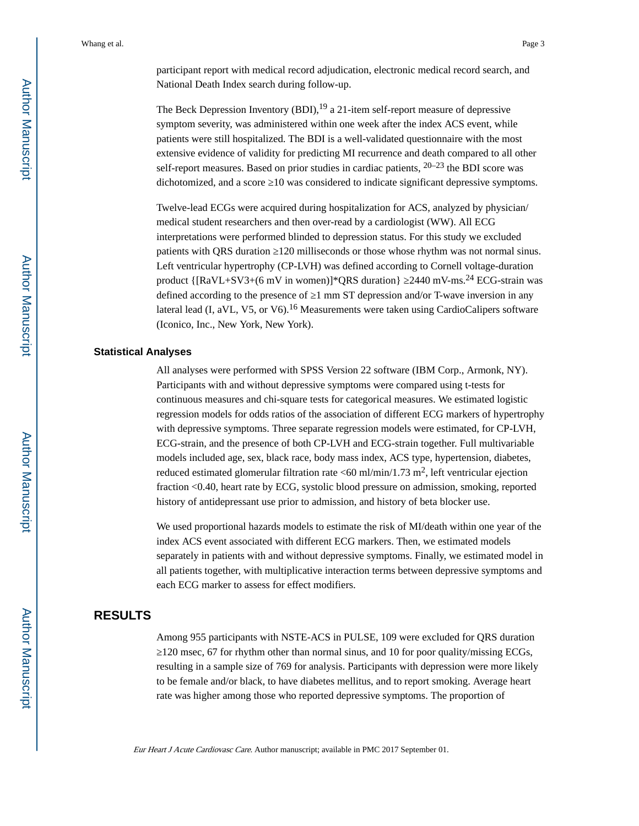participant report with medical record adjudication, electronic medical record search, and National Death Index search during follow-up.

The Beck Depression Inventory  $(BDI)$ , <sup>19</sup> a 21-item self-report measure of depressive symptom severity, was administered within one week after the index ACS event, while patients were still hospitalized. The BDI is a well-validated questionnaire with the most extensive evidence of validity for predicting MI recurrence and death compared to all other self-report measures. Based on prior studies in cardiac patients,  $20-23$  the BDI score was dichotomized, and a score 10 was considered to indicate significant depressive symptoms.

Twelve-lead ECGs were acquired during hospitalization for ACS, analyzed by physician/ medical student researchers and then over-read by a cardiologist (WW). All ECG interpretations were performed blinded to depression status. For this study we excluded patients with QRS duration 120 milliseconds or those whose rhythm was not normal sinus. Left ventricular hypertrophy (CP-LVH) was defined according to Cornell voltage-duration product {[RaVL+SV3+(6 mV in women)]\*QRS duration} 2440 mV-ms.<sup>24</sup> ECG-strain was defined according to the presence of 1 mm ST depression and/or T-wave inversion in any lateral lead (I, aVL, V5, or V6).<sup>16</sup> Measurements were taken using CardioCalipers software (Iconico, Inc., New York, New York).

#### **Statistical Analyses**

All analyses were performed with SPSS Version 22 software (IBM Corp., Armonk, NY). Participants with and without depressive symptoms were compared using t-tests for continuous measures and chi-square tests for categorical measures. We estimated logistic regression models for odds ratios of the association of different ECG markers of hypertrophy with depressive symptoms. Three separate regression models were estimated, for CP-LVH, ECG-strain, and the presence of both CP-LVH and ECG-strain together. Full multivariable models included age, sex, black race, body mass index, ACS type, hypertension, diabetes, reduced estimated glomerular filtration rate  $\langle 60 \text{ ml/min/1.73 m}^2$ , left ventricular ejection fraction <0.40, heart rate by ECG, systolic blood pressure on admission, smoking, reported history of antidepressant use prior to admission, and history of beta blocker use.

We used proportional hazards models to estimate the risk of MI/death within one year of the index ACS event associated with different ECG markers. Then, we estimated models separately in patients with and without depressive symptoms. Finally, we estimated model in all patients together, with multiplicative interaction terms between depressive symptoms and each ECG marker to assess for effect modifiers.

## **RESULTS**

Among 955 participants with NSTE-ACS in PULSE, 109 were excluded for QRS duration ≥120 msec, 67 for rhythm other than normal sinus, and 10 for poor quality/missing ECGs, resulting in a sample size of 769 for analysis. Participants with depression were more likely to be female and/or black, to have diabetes mellitus, and to report smoking. Average heart rate was higher among those who reported depressive symptoms. The proportion of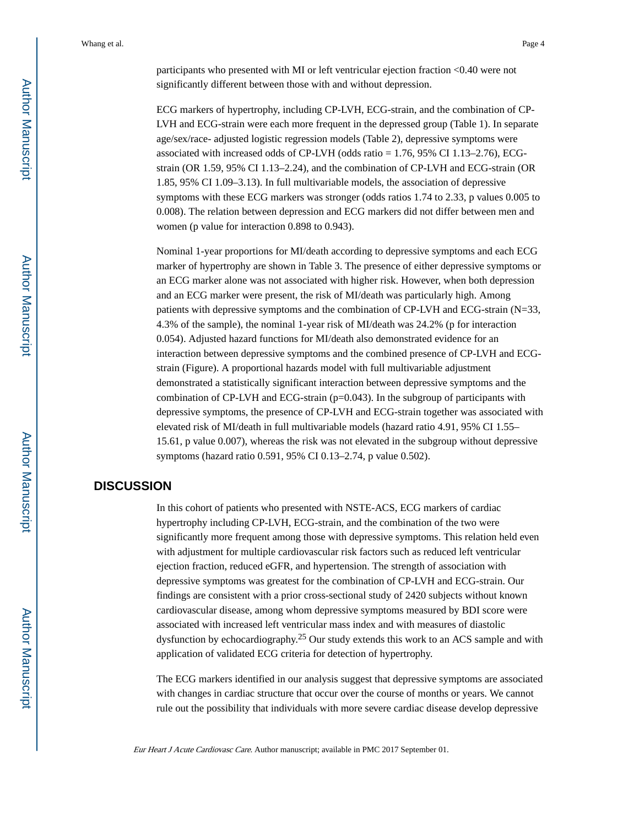participants who presented with MI or left ventricular ejection fraction <0.40 were not significantly different between those with and without depression.

ECG markers of hypertrophy, including CP-LVH, ECG-strain, and the combination of CP-LVH and ECG-strain were each more frequent in the depressed group (Table 1). In separate age/sex/race- adjusted logistic regression models (Table 2), depressive symptoms were associated with increased odds of CP-LVH (odds ratio = 1.76, 95% CI 1.13–2.76), ECGstrain (OR 1.59, 95% CI 1.13–2.24), and the combination of CP-LVH and ECG-strain (OR 1.85, 95% CI 1.09–3.13). In full multivariable models, the association of depressive symptoms with these ECG markers was stronger (odds ratios 1.74 to 2.33, p values 0.005 to 0.008). The relation between depression and ECG markers did not differ between men and women (p value for interaction 0.898 to 0.943).

Nominal 1-year proportions for MI/death according to depressive symptoms and each ECG marker of hypertrophy are shown in Table 3. The presence of either depressive symptoms or an ECG marker alone was not associated with higher risk. However, when both depression and an ECG marker were present, the risk of MI/death was particularly high. Among patients with depressive symptoms and the combination of CP-LVH and ECG-strain (N=33, 4.3% of the sample), the nominal 1-year risk of MI/death was 24.2% (p for interaction 0.054). Adjusted hazard functions for MI/death also demonstrated evidence for an interaction between depressive symptoms and the combined presence of CP-LVH and ECGstrain (Figure). A proportional hazards model with full multivariable adjustment demonstrated a statistically significant interaction between depressive symptoms and the combination of CP-LVH and ECG-strain  $(p=0.043)$ . In the subgroup of participants with depressive symptoms, the presence of CP-LVH and ECG-strain together was associated with elevated risk of MI/death in full multivariable models (hazard ratio 4.91, 95% CI 1.55– 15.61, p value 0.007), whereas the risk was not elevated in the subgroup without depressive symptoms (hazard ratio 0.591, 95% CI 0.13–2.74, p value 0.502).

## **DISCUSSION**

In this cohort of patients who presented with NSTE-ACS, ECG markers of cardiac hypertrophy including CP-LVH, ECG-strain, and the combination of the two were significantly more frequent among those with depressive symptoms. This relation held even with adjustment for multiple cardiovascular risk factors such as reduced left ventricular ejection fraction, reduced eGFR, and hypertension. The strength of association with depressive symptoms was greatest for the combination of CP-LVH and ECG-strain. Our findings are consistent with a prior cross-sectional study of 2420 subjects without known cardiovascular disease, among whom depressive symptoms measured by BDI score were associated with increased left ventricular mass index and with measures of diastolic dysfunction by echocardiography.25 Our study extends this work to an ACS sample and with application of validated ECG criteria for detection of hypertrophy.

The ECG markers identified in our analysis suggest that depressive symptoms are associated with changes in cardiac structure that occur over the course of months or years. We cannot rule out the possibility that individuals with more severe cardiac disease develop depressive

Eur Heart J Acute Cardiovasc Care. Author manuscript; available in PMC 2017 September 01.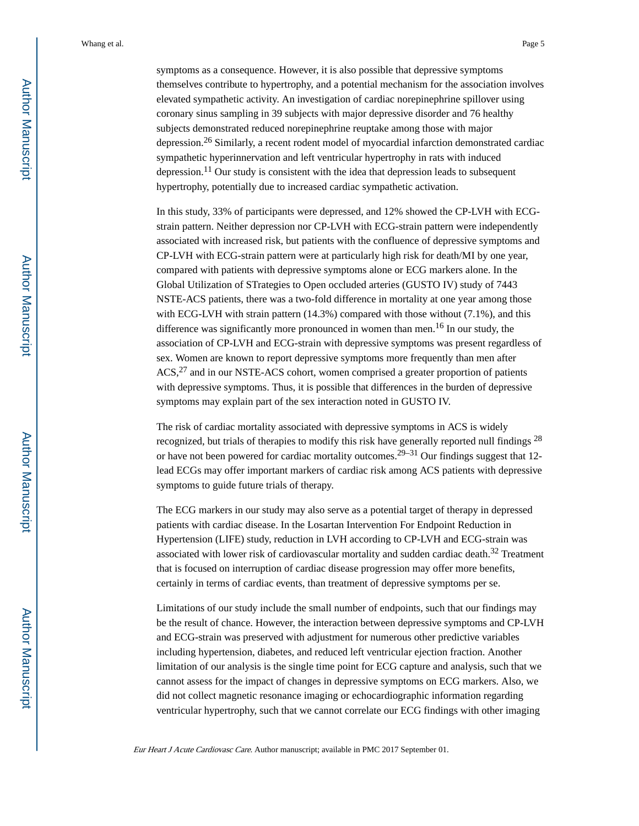symptoms as a consequence. However, it is also possible that depressive symptoms themselves contribute to hypertrophy, and a potential mechanism for the association involves elevated sympathetic activity. An investigation of cardiac norepinephrine spillover using coronary sinus sampling in 39 subjects with major depressive disorder and 76 healthy subjects demonstrated reduced norepinephrine reuptake among those with major depression.26 Similarly, a recent rodent model of myocardial infarction demonstrated cardiac sympathetic hyperinnervation and left ventricular hypertrophy in rats with induced depression.<sup>11</sup> Our study is consistent with the idea that depression leads to subsequent hypertrophy, potentially due to increased cardiac sympathetic activation.

In this study, 33% of participants were depressed, and 12% showed the CP-LVH with ECGstrain pattern. Neither depression nor CP-LVH with ECG-strain pattern were independently associated with increased risk, but patients with the confluence of depressive symptoms and CP-LVH with ECG-strain pattern were at particularly high risk for death/MI by one year, compared with patients with depressive symptoms alone or ECG markers alone. In the Global Utilization of STrategies to Open occluded arteries (GUSTO IV) study of 7443 NSTE-ACS patients, there was a two-fold difference in mortality at one year among those with ECG-LVH with strain pattern (14.3%) compared with those without (7.1%), and this difference was significantly more pronounced in women than men.<sup>16</sup> In our study, the association of CP-LVH and ECG-strain with depressive symptoms was present regardless of sex. Women are known to report depressive symptoms more frequently than men after ACS,<sup>27</sup> and in our NSTE-ACS cohort, women comprised a greater proportion of patients with depressive symptoms. Thus, it is possible that differences in the burden of depressive symptoms may explain part of the sex interaction noted in GUSTO IV.

The risk of cardiac mortality associated with depressive symptoms in ACS is widely recognized, but trials of therapies to modify this risk have generally reported null findings  $^{28}$ or have not been powered for cardiac mortality outcomes.<sup>29–31</sup> Our findings suggest that 12lead ECGs may offer important markers of cardiac risk among ACS patients with depressive symptoms to guide future trials of therapy.

The ECG markers in our study may also serve as a potential target of therapy in depressed patients with cardiac disease. In the Losartan Intervention For Endpoint Reduction in Hypertension (LIFE) study, reduction in LVH according to CP-LVH and ECG-strain was associated with lower risk of cardiovascular mortality and sudden cardiac death.32 Treatment that is focused on interruption of cardiac disease progression may offer more benefits, certainly in terms of cardiac events, than treatment of depressive symptoms per se.

Limitations of our study include the small number of endpoints, such that our findings may be the result of chance. However, the interaction between depressive symptoms and CP-LVH and ECG-strain was preserved with adjustment for numerous other predictive variables including hypertension, diabetes, and reduced left ventricular ejection fraction. Another limitation of our analysis is the single time point for ECG capture and analysis, such that we cannot assess for the impact of changes in depressive symptoms on ECG markers. Also, we did not collect magnetic resonance imaging or echocardiographic information regarding ventricular hypertrophy, such that we cannot correlate our ECG findings with other imaging

Eur Heart J Acute Cardiovasc Care. Author manuscript; available in PMC 2017 September 01.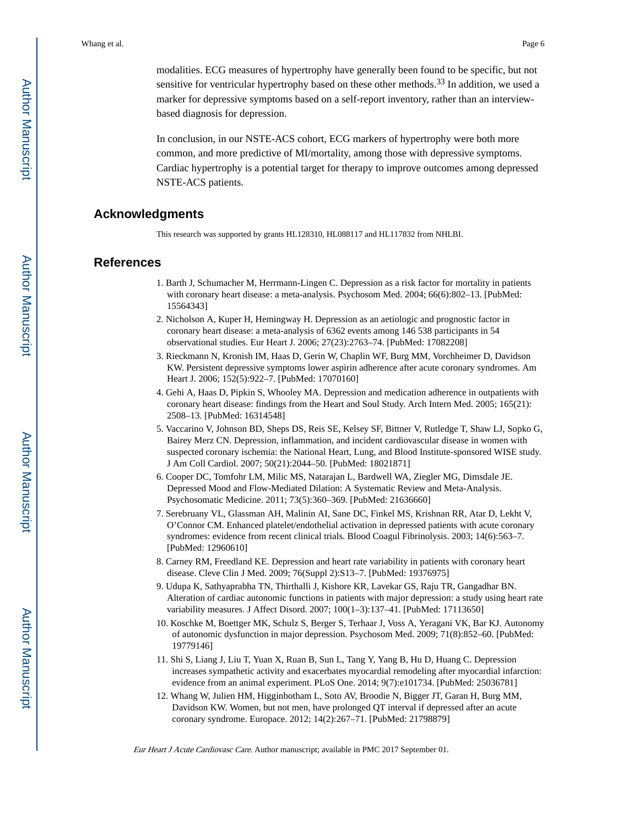modalities. ECG measures of hypertrophy have generally been found to be specific, but not sensitive for ventricular hypertrophy based on these other methods.<sup>33</sup> In addition, we used a marker for depressive symptoms based on a self-report inventory, rather than an interviewbased diagnosis for depression.

In conclusion, in our NSTE-ACS cohort, ECG markers of hypertrophy were both more common, and more predictive of MI/mortality, among those with depressive symptoms. Cardiac hypertrophy is a potential target for therapy to improve outcomes among depressed NSTE-ACS patients.

## **Acknowledgments**

This research was supported by grants HL128310, HL088117 and HL117832 from NHLBI.

## **References**

- 1. Barth J, Schumacher M, Herrmann-Lingen C. Depression as a risk factor for mortality in patients with coronary heart disease: a meta-analysis. Psychosom Med. 2004; 66(6):802–13. [PubMed: 15564343]
- 2. Nicholson A, Kuper H, Hemingway H. Depression as an aetiologic and prognostic factor in coronary heart disease: a meta-analysis of 6362 events among 146 538 participants in 54 observational studies. Eur Heart J. 2006; 27(23):2763–74. [PubMed: 17082208]
- 3. Rieckmann N, Kronish IM, Haas D, Gerin W, Chaplin WF, Burg MM, Vorchheimer D, Davidson KW. Persistent depressive symptoms lower aspirin adherence after acute coronary syndromes. Am Heart J. 2006; 152(5):922–7. [PubMed: 17070160]
- 4. Gehi A, Haas D, Pipkin S, Whooley MA. Depression and medication adherence in outpatients with coronary heart disease: findings from the Heart and Soul Study. Arch Intern Med. 2005; 165(21): 2508–13. [PubMed: 16314548]
- 5. Vaccarino V, Johnson BD, Sheps DS, Reis SE, Kelsey SF, Bittner V, Rutledge T, Shaw LJ, Sopko G, Bairey Merz CN. Depression, inflammation, and incident cardiovascular disease in women with suspected coronary ischemia: the National Heart, Lung, and Blood Institute-sponsored WISE study. J Am Coll Cardiol. 2007; 50(21):2044–50. [PubMed: 18021871]
- 6. Cooper DC, Tomfohr LM, Milic MS, Natarajan L, Bardwell WA, Ziegler MG, Dimsdale JE. Depressed Mood and Flow-Mediated Dilation: A Systematic Review and Meta-Analysis. Psychosomatic Medicine. 2011; 73(5):360–369. [PubMed: 21636660]
- 7. Serebruany VL, Glassman AH, Malinin AI, Sane DC, Finkel MS, Krishnan RR, Atar D, Lekht V, O'Connor CM. Enhanced platelet/endothelial activation in depressed patients with acute coronary syndromes: evidence from recent clinical trials. Blood Coagul Fibrinolysis. 2003; 14(6):563–7. [PubMed: 12960610]
- 8. Carney RM, Freedland KE. Depression and heart rate variability in patients with coronary heart disease. Cleve Clin J Med. 2009; 76(Suppl 2):S13–7. [PubMed: 19376975]
- 9. Udupa K, Sathyaprabha TN, Thirthalli J, Kishore KR, Lavekar GS, Raju TR, Gangadhar BN. Alteration of cardiac autonomic functions in patients with major depression: a study using heart rate variability measures. J Affect Disord. 2007; 100(1–3):137–41. [PubMed: 17113650]
- 10. Koschke M, Boettger MK, Schulz S, Berger S, Terhaar J, Voss A, Yeragani VK, Bar KJ. Autonomy of autonomic dysfunction in major depression. Psychosom Med. 2009; 71(8):852–60. [PubMed: 19779146]
- 11. Shi S, Liang J, Liu T, Yuan X, Ruan B, Sun L, Tang Y, Yang B, Hu D, Huang C. Depression increases sympathetic activity and exacerbates myocardial remodeling after myocardial infarction: evidence from an animal experiment. PLoS One. 2014; 9(7):e101734. [PubMed: 25036781]
- 12. Whang W, Julien HM, Higginbotham L, Soto AV, Broodie N, Bigger JT, Garan H, Burg MM, Davidson KW. Women, but not men, have prolonged QT interval if depressed after an acute coronary syndrome. Europace. 2012; 14(2):267–71. [PubMed: 21798879]

Eur Heart J Acute Cardiovasc Care. Author manuscript; available in PMC 2017 September 01.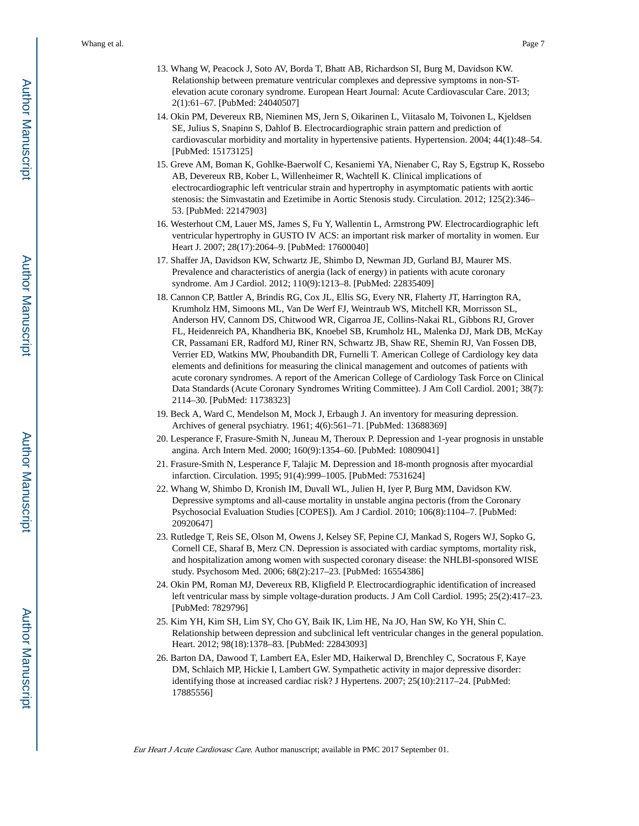- 13. Whang W, Peacock J, Soto AV, Borda T, Bhatt AB, Richardson SI, Burg M, Davidson KW. Relationship between premature ventricular complexes and depressive symptoms in non-STelevation acute coronary syndrome. European Heart Journal: Acute Cardiovascular Care. 2013; 2(1):61–67. [PubMed: 24040507]
- 14. Okin PM, Devereux RB, Nieminen MS, Jern S, Oikarinen L, Viitasalo M, Toivonen L, Kjeldsen SE, Julius S, Snapinn S, Dahlof B. Electrocardiographic strain pattern and prediction of cardiovascular morbidity and mortality in hypertensive patients. Hypertension. 2004; 44(1):48–54. [PubMed: 15173125]
- 15. Greve AM, Boman K, Gohlke-Baerwolf C, Kesaniemi YA, Nienaber C, Ray S, Egstrup K, Rossebo AB, Devereux RB, Kober L, Willenheimer R, Wachtell K. Clinical implications of electrocardiographic left ventricular strain and hypertrophy in asymptomatic patients with aortic stenosis: the Simvastatin and Ezetimibe in Aortic Stenosis study. Circulation. 2012; 125(2):346– 53. [PubMed: 22147903]
- 16. Westerhout CM, Lauer MS, James S, Fu Y, Wallentin L, Armstrong PW. Electrocardiographic left ventricular hypertrophy in GUSTO IV ACS: an important risk marker of mortality in women. Eur Heart J. 2007; 28(17):2064–9. [PubMed: 17600040]
- 17. Shaffer JA, Davidson KW, Schwartz JE, Shimbo D, Newman JD, Gurland BJ, Maurer MS. Prevalence and characteristics of anergia (lack of energy) in patients with acute coronary syndrome. Am J Cardiol. 2012; 110(9):1213–8. [PubMed: 22835409]
- 18. Cannon CP, Battler A, Brindis RG, Cox JL, Ellis SG, Every NR, Flaherty JT, Harrington RA, Krumholz HM, Simoons ML, Van De Werf FJ, Weintraub WS, Mitchell KR, Morrisson SL, Anderson HV, Cannom DS, Chitwood WR, Cigarroa JE, Collins-Nakai RL, Gibbons RJ, Grover FL, Heidenreich PA, Khandheria BK, Knoebel SB, Krumholz HL, Malenka DJ, Mark DB, McKay CR, Passamani ER, Radford MJ, Riner RN, Schwartz JB, Shaw RE, Shemin RJ, Van Fossen DB, Verrier ED, Watkins MW, Phoubandith DR, Furnelli T. American College of Cardiology key data elements and definitions for measuring the clinical management and outcomes of patients with acute coronary syndromes. A report of the American College of Cardiology Task Force on Clinical Data Standards (Acute Coronary Syndromes Writing Committee). J Am Coll Cardiol. 2001; 38(7): 2114–30. [PubMed: 11738323]
- 19. Beck A, Ward C, Mendelson M, Mock J, Erbaugh J. An inventory for measuring depression. Archives of general psychiatry. 1961; 4(6):561–71. [PubMed: 13688369]
- 20. Lesperance F, Frasure-Smith N, Juneau M, Theroux P. Depression and 1-year prognosis in unstable angina. Arch Intern Med. 2000; 160(9):1354–60. [PubMed: 10809041]
- 21. Frasure-Smith N, Lesperance F, Talajic M. Depression and 18-month prognosis after myocardial infarction. Circulation. 1995; 91(4):999–1005. [PubMed: 7531624]
- 22. Whang W, Shimbo D, Kronish IM, Duvall WL, Julien H, Iyer P, Burg MM, Davidson KW. Depressive symptoms and all-cause mortality in unstable angina pectoris (from the Coronary Psychosocial Evaluation Studies [COPES]). Am J Cardiol. 2010; 106(8):1104–7. [PubMed: 20920647]
- 23. Rutledge T, Reis SE, Olson M, Owens J, Kelsey SF, Pepine CJ, Mankad S, Rogers WJ, Sopko G, Cornell CE, Sharaf B, Merz CN. Depression is associated with cardiac symptoms, mortality risk, and hospitalization among women with suspected coronary disease: the NHLBI-sponsored WISE study. Psychosom Med. 2006; 68(2):217–23. [PubMed: 16554386]
- 24. Okin PM, Roman MJ, Devereux RB, Kligfield P. Electrocardiographic identification of increased left ventricular mass by simple voltage-duration products. J Am Coll Cardiol. 1995; 25(2):417–23. [PubMed: 7829796]
- 25. Kim YH, Kim SH, Lim SY, Cho GY, Baik IK, Lim HE, Na JO, Han SW, Ko YH, Shin C. Relationship between depression and subclinical left ventricular changes in the general population. Heart. 2012; 98(18):1378–83. [PubMed: 22843093]
- 26. Barton DA, Dawood T, Lambert EA, Esler MD, Haikerwal D, Brenchley C, Socratous F, Kaye DM, Schlaich MP, Hickie I, Lambert GW. Sympathetic activity in major depressive disorder: identifying those at increased cardiac risk? J Hypertens. 2007; 25(10):2117–24. [PubMed: 17885556]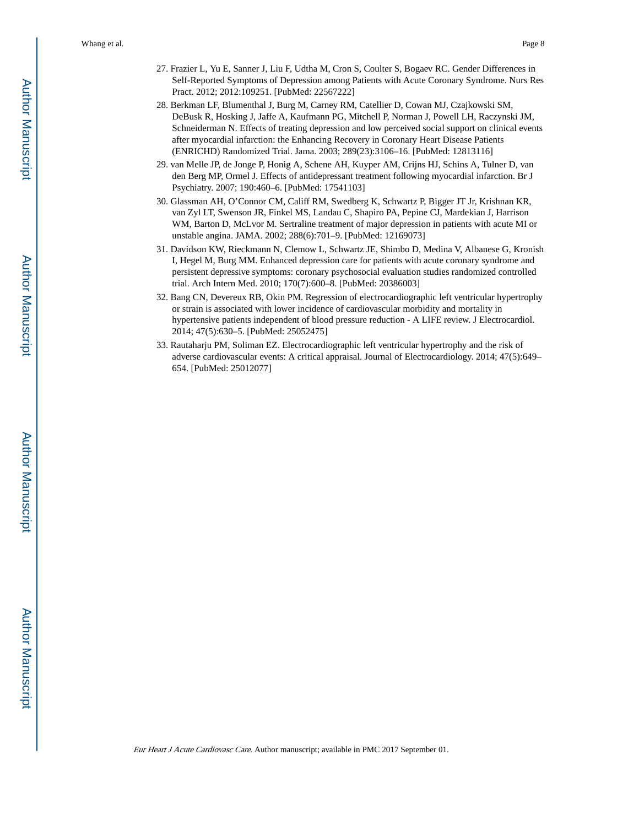- 27. Frazier L, Yu E, Sanner J, Liu F, Udtha M, Cron S, Coulter S, Bogaev RC. Gender Differences in Self-Reported Symptoms of Depression among Patients with Acute Coronary Syndrome. Nurs Res Pract. 2012; 2012:109251. [PubMed: 22567222]
- 28. Berkman LF, Blumenthal J, Burg M, Carney RM, Catellier D, Cowan MJ, Czajkowski SM, DeBusk R, Hosking J, Jaffe A, Kaufmann PG, Mitchell P, Norman J, Powell LH, Raczynski JM, Schneiderman N. Effects of treating depression and low perceived social support on clinical events after myocardial infarction: the Enhancing Recovery in Coronary Heart Disease Patients (ENRICHD) Randomized Trial. Jama. 2003; 289(23):3106–16. [PubMed: 12813116]
- 29. van Melle JP, de Jonge P, Honig A, Schene AH, Kuyper AM, Crijns HJ, Schins A, Tulner D, van den Berg MP, Ormel J. Effects of antidepressant treatment following myocardial infarction. Br J Psychiatry. 2007; 190:460–6. [PubMed: 17541103]
- 30. Glassman AH, O'Connor CM, Califf RM, Swedberg K, Schwartz P, Bigger JT Jr, Krishnan KR, van Zyl LT, Swenson JR, Finkel MS, Landau C, Shapiro PA, Pepine CJ, Mardekian J, Harrison WM, Barton D, McLvor M. Sertraline treatment of major depression in patients with acute MI or unstable angina. JAMA. 2002; 288(6):701–9. [PubMed: 12169073]
- 31. Davidson KW, Rieckmann N, Clemow L, Schwartz JE, Shimbo D, Medina V, Albanese G, Kronish I, Hegel M, Burg MM. Enhanced depression care for patients with acute coronary syndrome and persistent depressive symptoms: coronary psychosocial evaluation studies randomized controlled trial. Arch Intern Med. 2010; 170(7):600–8. [PubMed: 20386003]
- 32. Bang CN, Devereux RB, Okin PM. Regression of electrocardiographic left ventricular hypertrophy or strain is associated with lower incidence of cardiovascular morbidity and mortality in hypertensive patients independent of blood pressure reduction - A LIFE review. J Electrocardiol. 2014; 47(5):630–5. [PubMed: 25052475]
- 33. Rautaharju PM, Soliman EZ. Electrocardiographic left ventricular hypertrophy and the risk of adverse cardiovascular events: A critical appraisal. Journal of Electrocardiology. 2014; 47(5):649– 654. [PubMed: 25012077]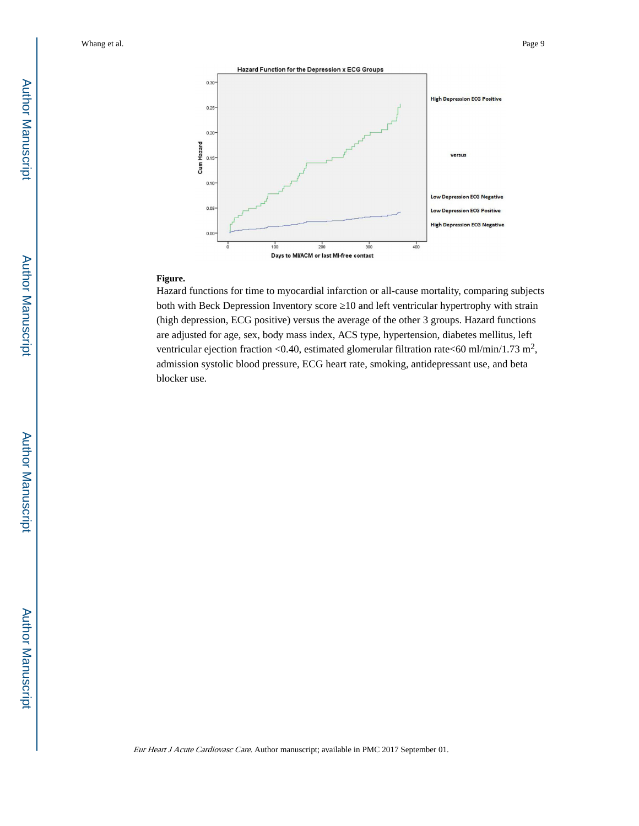

#### **Figure.**

Hazard functions for time to myocardial infarction or all-cause mortality, comparing subjects both with Beck Depression Inventory score 10 and left ventricular hypertrophy with strain (high depression, ECG positive) versus the average of the other 3 groups. Hazard functions are adjusted for age, sex, body mass index, ACS type, hypertension, diabetes mellitus, left ventricular ejection fraction <0.40, estimated glomerular filtration rate <60 ml/min/1.73 m<sup>2</sup>, admission systolic blood pressure, ECG heart rate, smoking, antidepressant use, and beta blocker use.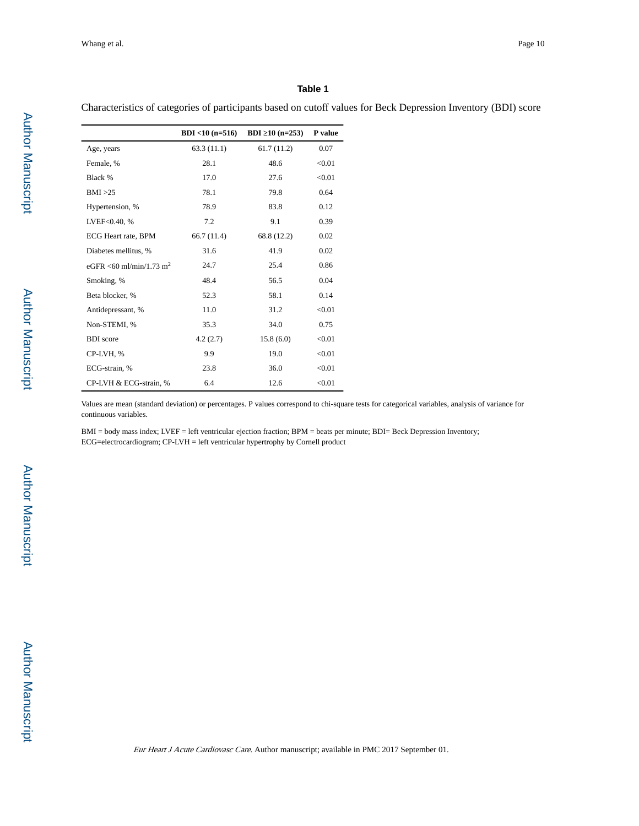#### **Table 1**

Characteristics of categories of participants based on cutoff values for Beck Depression Inventory (BDI) score

|                                     | $BDI < 10$ (n=516) | <b>BDI</b> 10 $(n=253)$ | P value |
|-------------------------------------|--------------------|-------------------------|---------|
| Age, years                          | 63.3(11.1)         | 61.7(11.2)              | 0.07    |
| Female, %                           | 28.1               | 48.6                    | < 0.01  |
| Black %                             | 17.0               | 27.6                    | < 0.01  |
| BMI >25                             | 78.1               | 79.8                    | 0.64    |
| Hypertension, %                     | 78.9               | 83.8                    | 0.12    |
| LVEF<0.40, %                        | 7.2                | 9.1                     | 0.39    |
| ECG Heart rate, BPM                 | 66.7(11.4)         | 68.8 (12.2)             | 0.02    |
| Diabetes mellitus, %                | 31.6               | 41.9                    | 0.02    |
| eGFR <60 ml/min/1.73 m <sup>2</sup> | 24.7               | 25.4                    | 0.86    |
| Smoking, %                          | 48.4               | 56.5                    | 0.04    |
| Beta blocker, %                     | 52.3               | 58.1                    | 0.14    |
| Antidepressant, %                   | 11.0               | 31.2                    | < 0.01  |
| Non-STEMI, %                        | 35.3               | 34.0                    | 0.75    |
| <b>BDI</b> score                    | 4.2(2.7)           | 15.8(6.0)               | < 0.01  |
| CP-LVH, %                           | 9.9                | 19.0                    | < 0.01  |
| ECG-strain. %                       | 23.8               | 36.0                    | < 0.01  |
| CP-LVH & ECG-strain, %              | 6.4                | 12.6                    | < 0.01  |

Values are mean (standard deviation) or percentages. P values correspond to chi-square tests for categorical variables, analysis of variance for continuous variables.

BMI = body mass index; LVEF = left ventricular ejection fraction; BPM = beats per minute; BDI= Beck Depression Inventory; ECG=electrocardiogram; CP-LVH = left ventricular hypertrophy by Cornell product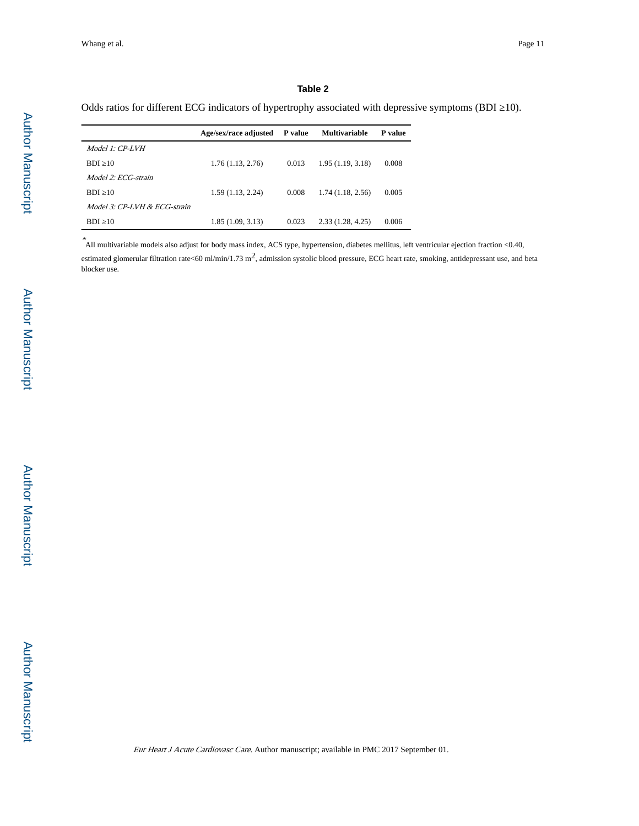#### **Table 2**

Odds ratios for different ECG indicators of hypertrophy associated with depressive symptoms (BDI = 10).

|                              | Age/sex/race adjusted<br>P value |       | <b>Multivariable</b> | P value |
|------------------------------|----------------------------------|-------|----------------------|---------|
| Model 1: CP-LVH              |                                  |       |                      |         |
| <b>BDI</b> 10                | 1.76(1.13, 2.76)                 | 0.013 | 1.95(1.19, 3.18)     | 0.008   |
| Model 2: ECG-strain          |                                  |       |                      |         |
| <b>BDI</b> 10                | 1.59(1.13, 2.24)                 | 0.008 | 1.74(1.18, 2.56)     | 0.005   |
| Model 3: CP-LVH & ECG-strain |                                  |       |                      |         |
| - 10<br>BDI.                 | 1.85(1.09, 3.13)                 | 0.023 | 2.33(1.28, 4.25)     | 0.006   |

\* All multivariable models also adjust for body mass index, ACS type, hypertension, diabetes mellitus, left ventricular ejection fraction <0.40, estimated glomerular filtration rate<60 ml/min/1.73 m<sup>2</sup>, admission systolic blood pressure, ECG heart rate, smoking, antidepressant use, and beta blocker use.